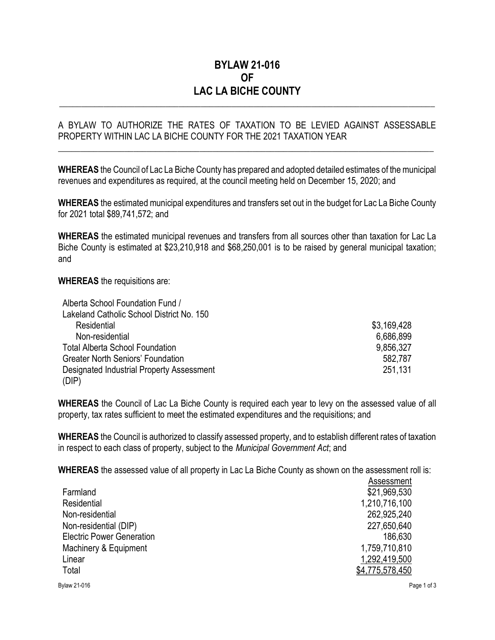## BYLAW 21-016 OF LAC LA BICHE COUNTY

\_\_\_\_\_\_\_\_\_\_\_\_\_\_\_\_\_\_\_\_\_\_\_\_\_\_\_\_\_\_\_\_\_\_\_\_\_\_\_\_\_\_\_\_\_\_\_\_\_\_\_\_\_\_\_\_\_\_\_\_\_\_\_\_\_\_\_\_\_\_\_\_\_\_\_\_\_\_\_\_\_\_\_\_\_

## A BYLAW TO AUTHORIZE THE RATES OF TAXATION TO BE LEVIED AGAINST ASSESSABLE PROPERTY WITHIN LAC LA BICHE COUNTY FOR THE 2021 TAXATION YEAR

\_\_\_\_\_\_\_\_\_\_\_\_\_\_\_\_\_\_\_\_\_\_\_\_\_\_\_\_\_\_\_\_\_\_\_\_\_\_\_\_\_\_\_\_\_\_\_\_\_\_\_\_\_\_\_\_\_\_\_\_\_\_\_\_\_\_\_\_\_\_\_\_\_\_\_\_\_\_\_\_\_\_\_\_\_

WHEREAS the Council of Lac La Biche County has prepared and adopted detailed estimates of the municipal revenues and expenditures as required, at the council meeting held on December 15, 2020; and

WHEREAS the estimated municipal expenditures and transfers set out in the budget for Lac La Biche County for 2021 total \$89,741,572; and

WHEREAS the estimated municipal revenues and transfers from all sources other than taxation for Lac La Biche County is estimated at \$23,210,918 and \$68,250,001 is to be raised by general municipal taxation; and

WHEREAS the requisitions are:

| Alberta School Foundation Fund /          |             |
|-------------------------------------------|-------------|
| Lakeland Catholic School District No. 150 |             |
| Residential                               | \$3,169,428 |
| Non-residential                           | 6,686,899   |
| <b>Total Alberta School Foundation</b>    | 9,856,327   |
| <b>Greater North Seniors' Foundation</b>  | 582,787     |
| Designated Industrial Property Assessment | 251,131     |
| (DIP)                                     |             |

WHEREAS the Council of Lac La Biche County is required each year to levy on the assessed value of all property, tax rates sufficient to meet the estimated expenditures and the requisitions; and

WHEREAS the Council is authorized to classify assessed property, and to establish different rates of taxation in respect to each class of property, subject to the Municipal Government Act; and

WHEREAS the assessed value of all property in Lac La Biche County as shown on the assessment roll is:

|                                  | ASSESSINENT     |
|----------------------------------|-----------------|
| Farmland                         | \$21,969,530    |
| Residential                      | 1,210,716,100   |
| Non-residential                  | 262,925,240     |
| Non-residential (DIP)            | 227,650,640     |
| <b>Electric Power Generation</b> | 186,630         |
| Machinery & Equipment            | 1,759,710,810   |
| Linear                           | 1,292,419,500   |
| Total                            | \$4,775,578,450 |
| <b>Bylaw 21-016</b>              | Page 1 of 3     |

Assessment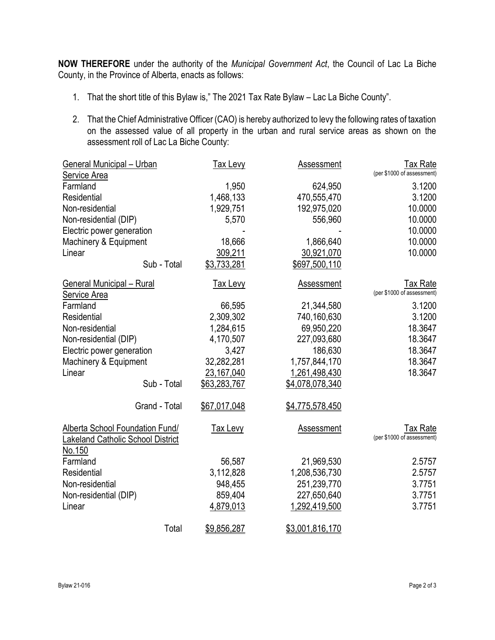NOW THEREFORE under the authority of the Municipal Government Act, the Council of Lac La Biche County, in the Province of Alberta, enacts as follows:

- 1. That the short title of this Bylaw is," The 2021 Tax Rate Bylaw Lac La Biche County".
- 2. That the Chief Administrative Officer (CAO) is hereby authorized to levy the following rates of taxation on the assessed value of all property in the urban and rural service areas as shown on the assessment roll of Lac La Biche County:

| <b>General Municipal - Urban</b><br><b>Service Area</b>                     | <b>Tax Levy</b> | <b>Assessment</b> | <b>Tax Rate</b><br>(per \$1000 of assessment) |
|-----------------------------------------------------------------------------|-----------------|-------------------|-----------------------------------------------|
| Farmland                                                                    | 1,950           | 624,950           | 3.1200                                        |
| Residential                                                                 | 1,468,133       | 470,555,470       | 3.1200                                        |
| Non-residential                                                             | 1,929,751       | 192,975,020       | 10.0000                                       |
| Non-residential (DIP)                                                       | 5,570           | 556,960           | 10.0000                                       |
| Electric power generation                                                   |                 |                   | 10.0000                                       |
| Machinery & Equipment                                                       | 18,666          | 1,866,640         | 10.0000                                       |
| Linear                                                                      | 309,211         | 30,921,070        | 10.0000                                       |
| Sub - Total                                                                 | \$3,733,281     | \$697,500,110     |                                               |
|                                                                             |                 |                   |                                               |
| <b>General Municipal - Rural</b>                                            | <b>Tax Levy</b> | <b>Assessment</b> | <b>Tax Rate</b>                               |
| Service Area                                                                |                 |                   | (per \$1000 of assessment)                    |
| Farmland                                                                    | 66,595          | 21,344,580        | 3.1200                                        |
| Residential                                                                 | 2,309,302       | 740,160,630       | 3.1200                                        |
| Non-residential                                                             | 1,284,615       | 69,950,220        | 18.3647                                       |
| Non-residential (DIP)                                                       | 4,170,507       | 227,093,680       | 18.3647                                       |
| Electric power generation                                                   | 3,427           | 186,630           | 18.3647                                       |
| Machinery & Equipment                                                       | 32,282,281      | 1,757,844,170     | 18.3647                                       |
| Linear                                                                      | 23,167,040      | 1,261,498,430     | 18.3647                                       |
| Sub - Total                                                                 | \$63,283,767    | \$4,078,078,340   |                                               |
| Grand - Total                                                               | \$67,017,048    | \$4,775,578,450   |                                               |
| Alberta School Foundation Fund/<br><b>Lakeland Catholic School District</b> | <b>Tax Levy</b> | Assessment        | Tax Rate<br>(per \$1000 of assessment)        |
| <u>No.150</u>                                                               |                 |                   |                                               |
| Farmland                                                                    | 56,587          | 21,969,530        | 2.5757                                        |
| Residential                                                                 | 3,112,828       | 1,208,536,730     | 2.5757                                        |
| Non-residential                                                             | 948,455         | 251,239,770       | 3.7751                                        |
| Non-residential (DIP)                                                       | 859,404         | 227,650,640       | 3.7751                                        |
| Linear                                                                      | 4,879,013       | 1,292,419,500     | 3.7751                                        |
| Total                                                                       | \$9,856,287     | \$3,001,816,170   |                                               |